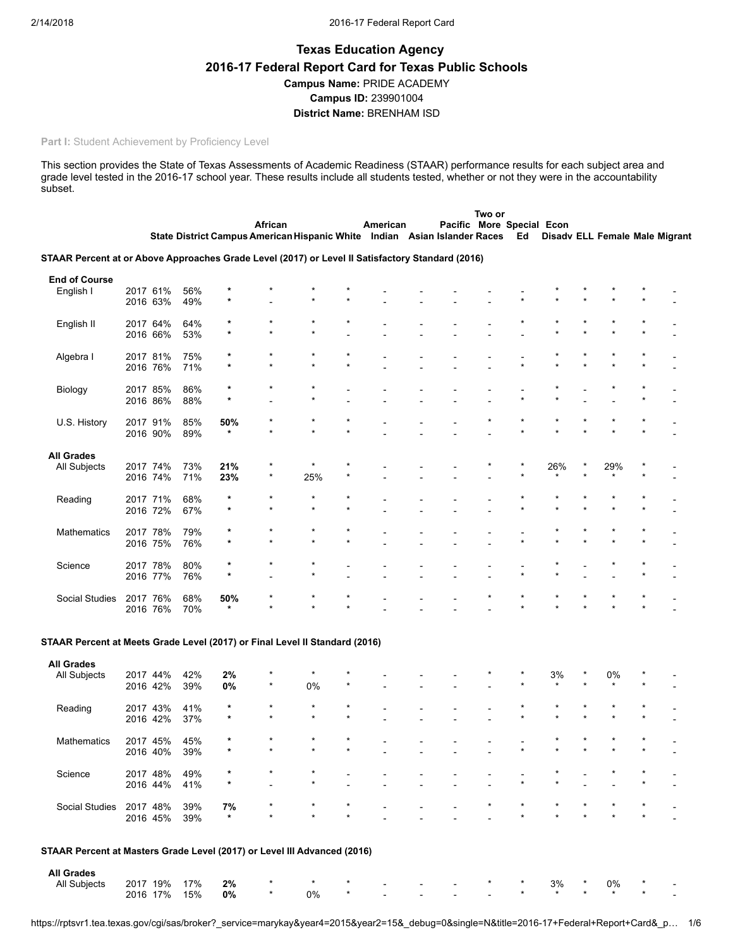# Texas Education Agency 2016-17 Federal Report Card for Texas Public Schools Campus Name: PRIDE ACADEMY Campus ID: 239901004 District Name: BRENHAM ISD

### Part I: Student Achievement by Proficiency Level

This section provides the State of Texas Assessments of Academic Readiness (STAAR) performance results for each subject area and grade level tested in the 2016-17 school year. These results include all students tested, whether or not they were in the accountability subset.

|                                                                                                  |          |                      |            |                    |         |                                                                           |         |          |  | Two or |                           |               |     |                                |
|--------------------------------------------------------------------------------------------------|----------|----------------------|------------|--------------------|---------|---------------------------------------------------------------------------|---------|----------|--|--------|---------------------------|---------------|-----|--------------------------------|
|                                                                                                  |          |                      |            |                    | African |                                                                           |         | American |  |        | Pacific More Special Econ |               |     |                                |
|                                                                                                  |          |                      |            |                    |         | State District Campus American Hispanic White Indian Asian Islander Races |         |          |  |        | Ed                        |               |     | Disadv ELL Female Male Migrant |
| STAAR Percent at or Above Approaches Grade Level (2017) or Level II Satisfactory Standard (2016) |          |                      |            |                    |         |                                                                           |         |          |  |        |                           |               |     |                                |
|                                                                                                  |          |                      |            |                    |         |                                                                           |         |          |  |        |                           |               |     |                                |
| <b>End of Course</b><br>English I                                                                |          | 2017 61%             | 56%        |                    |         |                                                                           |         |          |  |        |                           |               |     |                                |
|                                                                                                  | 2016 63% |                      | 49%        | $\star$            |         |                                                                           |         |          |  |        |                           |               |     |                                |
|                                                                                                  |          |                      |            |                    |         |                                                                           |         |          |  |        |                           |               |     |                                |
| English II                                                                                       | 2017 64% |                      | 64%        |                    |         |                                                                           |         |          |  |        |                           |               |     |                                |
|                                                                                                  |          | 2016 66%             | 53%        | $\star$            |         | $\star$                                                                   |         |          |  |        |                           |               |     |                                |
|                                                                                                  |          |                      |            |                    |         |                                                                           |         |          |  |        |                           |               |     |                                |
| Algebra I                                                                                        | 2017 81% |                      | 75%        | ×                  |         |                                                                           |         |          |  |        |                           |               |     |                                |
|                                                                                                  |          | 2016 76%             | 71%        | *                  |         |                                                                           |         |          |  |        |                           |               |     |                                |
|                                                                                                  |          |                      |            |                    |         |                                                                           |         |          |  |        |                           |               |     |                                |
| Biology                                                                                          |          | 2017 85%             | 86%        |                    |         | $\star$                                                                   |         |          |  |        |                           |               |     |                                |
|                                                                                                  |          | 2016 86%             | 88%        | $\star$            |         |                                                                           |         |          |  |        |                           |               |     |                                |
|                                                                                                  |          |                      |            |                    |         |                                                                           |         |          |  |        |                           |               |     |                                |
| U.S. History                                                                                     |          | 2017 91%<br>2016 90% | 85%<br>89% | 50%                |         |                                                                           |         |          |  |        |                           |               |     |                                |
|                                                                                                  |          |                      |            |                    |         |                                                                           |         |          |  |        |                           |               |     |                                |
| <b>All Grades</b>                                                                                |          |                      |            |                    |         |                                                                           |         |          |  |        |                           |               |     |                                |
| All Subjects                                                                                     |          | 2017 74%             | 73%        | 21%                |         | $\star$                                                                   |         |          |  |        |                           | 26%           | 29% |                                |
|                                                                                                  | 2016 74% |                      | 71%        | 23%                |         | 25%                                                                       |         |          |  |        |                           |               |     |                                |
|                                                                                                  |          |                      |            |                    |         |                                                                           |         |          |  |        |                           |               |     |                                |
| Reading                                                                                          | 2017 71% |                      | 68%        | $\star$            |         |                                                                           |         |          |  |        |                           |               |     |                                |
|                                                                                                  |          | 2016 72%             | 67%        | $\star$            |         |                                                                           |         |          |  |        |                           |               |     |                                |
|                                                                                                  |          |                      |            |                    |         |                                                                           |         |          |  |        |                           |               |     |                                |
| Mathematics                                                                                      | 2017 78% |                      | 79%        | $\star$            |         |                                                                           |         |          |  |        |                           |               |     |                                |
|                                                                                                  |          | 2016 75%             | 76%        | $\star$            |         |                                                                           |         |          |  |        |                           |               |     |                                |
|                                                                                                  |          |                      |            |                    |         |                                                                           |         |          |  |        |                           |               |     |                                |
| Science                                                                                          |          | 2017 78%             | 80%        | ×<br>×             |         |                                                                           |         |          |  |        |                           |               |     |                                |
|                                                                                                  |          | 2016 77%             | 76%        |                    |         |                                                                           |         |          |  |        |                           |               |     |                                |
| Social Studies                                                                                   | 2017 76% |                      | 68%        | 50%                |         |                                                                           |         |          |  |        |                           |               |     |                                |
|                                                                                                  |          | 2016 76%             | 70%        | $\star$            |         |                                                                           |         |          |  |        |                           |               |     |                                |
|                                                                                                  |          |                      |            |                    |         |                                                                           |         |          |  |        |                           |               |     |                                |
|                                                                                                  |          |                      |            |                    |         |                                                                           |         |          |  |        |                           |               |     |                                |
| STAAR Percent at Meets Grade Level (2017) or Final Level II Standard (2016)                      |          |                      |            |                    |         |                                                                           |         |          |  |        |                           |               |     |                                |
| <b>All Grades</b>                                                                                |          |                      |            |                    |         |                                                                           |         |          |  |        |                           |               |     |                                |
| All Subjects                                                                                     |          | 2017 44%             | 42%        | 2%                 |         | $^{\star}$                                                                |         |          |  |        |                           | 3%            | 0%  |                                |
|                                                                                                  |          | 2016 42%             | 39%        | 0%                 |         | 0%                                                                        |         |          |  |        |                           |               |     |                                |
|                                                                                                  |          |                      |            |                    |         |                                                                           |         |          |  |        |                           |               |     |                                |
| Reading                                                                                          |          | 2017 43%             | 41%        | $\star$<br>$\star$ |         |                                                                           |         |          |  |        |                           |               |     |                                |
|                                                                                                  |          | 2016 42%             | 37%        |                    |         |                                                                           |         |          |  |        |                           |               |     |                                |
|                                                                                                  |          |                      |            | ×                  |         | $\star$                                                                   | $\star$ |          |  |        |                           |               |     |                                |
| Mathematics                                                                                      |          | 2017 45%<br>2016 40% | 45%<br>39% |                    |         |                                                                           |         |          |  |        |                           |               |     |                                |
|                                                                                                  |          |                      |            |                    |         |                                                                           |         |          |  |        |                           |               |     |                                |
| Science                                                                                          |          | 2017 48%             | 49%        |                    |         |                                                                           |         |          |  |        |                           |               |     |                                |
|                                                                                                  |          | 2016 44%             | 41%        | $\star$            |         |                                                                           |         |          |  |        |                           |               |     |                                |
|                                                                                                  |          |                      |            |                    |         |                                                                           |         |          |  |        |                           |               |     |                                |
| Social Studies                                                                                   | 2017 48% |                      | 39%        | 7%                 |         |                                                                           |         |          |  |        |                           |               |     |                                |
|                                                                                                  |          | 2016 45%             | 39%        | *                  |         |                                                                           |         |          |  |        |                           |               |     |                                |
|                                                                                                  |          |                      |            |                    |         |                                                                           |         |          |  |        |                           |               |     |                                |
| STAAR Percent at Masters Grade Level (2017) or Level III Advanced (2016)                         |          |                      |            |                    |         |                                                                           |         |          |  |        |                           |               |     |                                |
|                                                                                                  |          |                      |            |                    |         |                                                                           |         |          |  |        |                           |               |     |                                |
| <b>All Grades</b>                                                                                |          |                      |            |                    |         | $\star$                                                                   |         |          |  |        |                           |               |     |                                |
| All Subjects                                                                                     |          | 2017 19%<br>2016 17% | 17%<br>15% | $2\%$<br>$0\%$     |         | $0\%$                                                                     |         |          |  |        |                           | 3%<br>$\star$ | 0%  |                                |
|                                                                                                  |          |                      |            |                    |         |                                                                           |         |          |  |        |                           |               |     |                                |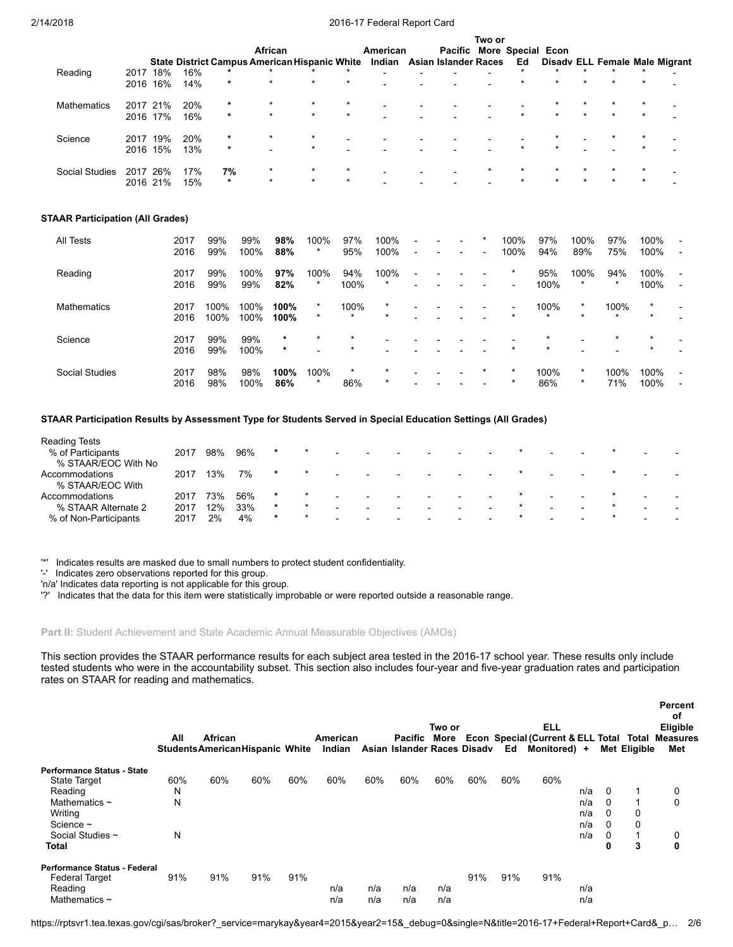|                       |      |          |     |         |                                                      |         |                          |                          |                          |                             | Two or                   |                           |         |         |         |         |                                |
|-----------------------|------|----------|-----|---------|------------------------------------------------------|---------|--------------------------|--------------------------|--------------------------|-----------------------------|--------------------------|---------------------------|---------|---------|---------|---------|--------------------------------|
|                       |      |          |     |         | African                                              |         |                          | American                 |                          |                             |                          | Pacific More Special Econ |         |         |         |         |                                |
|                       |      |          |     |         | <b>State District Campus American Hispanic White</b> |         |                          | Indian                   |                          | <b>Asian Islander Races</b> |                          | Ed                        |         |         |         |         | Disady ELL Female Male Migrant |
| Reading               | 2017 | 18%      | 16% | $\star$ | $\star$                                              |         | ÷                        | $\overline{\phantom{0}}$ |                          |                             | $\overline{\phantom{0}}$ |                           | *       | $\star$ | $\star$ | ÷       |                                |
|                       | 2016 | 16%      | 14% | $\star$ | $\star$                                              | $\star$ | $\star$                  | $\overline{\phantom{0}}$ |                          |                             |                          | $\star$                   | $\star$ | $\star$ |         |         |                                |
| <b>Mathematics</b>    | 2017 | 21%      | 20% | $\star$ | $^\star$                                             | $\star$ |                          | $\overline{\phantom{0}}$ |                          |                             |                          |                           |         |         |         |         |                                |
|                       |      | 2016 17% | 16% | $\star$ | $\star$                                              | $\star$ | $\star$                  | $\overline{\phantom{0}}$ |                          | $\overline{\phantom{0}}$    |                          | $\star$                   | $\star$ | $\star$ | $\star$ | $\star$ |                                |
| Science               | 2017 | 19%      | 20% | $\star$ | $\star$                                              | $\star$ |                          | $\blacksquare$           |                          |                             |                          |                           |         |         |         |         |                                |
|                       |      | 2016 15% | 13% | $\star$ |                                                      | $\star$ | $\overline{\phantom{0}}$ | $\blacksquare$           |                          | $\overline{\phantom{0}}$    |                          | $\star$                   | $\star$ |         |         |         |                                |
| <b>Social Studies</b> | 2017 | 26%      | 17% | 7%      | $\star$                                              | $\star$ | $\star$                  | $\overline{\phantom{0}}$ | $\overline{\phantom{0}}$ | $\overline{\phantom{0}}$    | $\star$                  | $\star$                   |         | $\star$ |         |         |                                |
|                       |      | 2016 21% | 15% | $\star$ | $\star$                                              | $\star$ | $\star$                  | $\overline{\phantom{0}}$ |                          |                             |                          | $\star$                   |         | $\star$ | $\star$ | $\star$ |                                |

### STAAR Participation (All Grades)

| All Tests             | 2017<br>2016 | 99%<br>99%   | 99%<br>100%  | 98%<br>88%         | 100%<br>$\star$    | 97%<br>95%         | 100%<br>100%        | $\overline{\phantom{0}}$<br>$\overline{\phantom{0}}$ | $\overline{\phantom{0}}$ | $\star$<br>$\overline{\phantom{0}}$ | 100%<br>100%              | 97%<br>94%         | 100%<br>89%        | 97%<br>75%      | 100%<br>100%       | $\overline{a}$<br>$\overline{\phantom{0}}$           |
|-----------------------|--------------|--------------|--------------|--------------------|--------------------|--------------------|---------------------|------------------------------------------------------|--------------------------|-------------------------------------|---------------------------|--------------------|--------------------|-----------------|--------------------|------------------------------------------------------|
| Reading               | 2017<br>2016 | 99%<br>99%   | 100%<br>99%  | 97%<br>82%         | 100%<br>$\star$    | 94%<br>100%        | 100%<br>$\star$     | $\overline{\phantom{a}}$                             |                          |                                     | $\star$                   | 95%<br>100%        | 100%<br>$\star$    | 94%<br>$\star$  | 100%<br>100%       | $\blacksquare$<br>$\overline{a}$                     |
| Mathematics           | 2017<br>2016 | 100%<br>100% | 100%<br>100% | 100%<br>100%       | $\star$<br>$\star$ | 100%<br>$\star$    | $^\star$<br>$\star$ | $\overline{\phantom{0}}$                             |                          | $\overline{\phantom{0}}$            | $\blacksquare$<br>$\star$ | 100%<br>$\star$    | $\star$<br>$\star$ | 100%<br>$\star$ | $\star$<br>$\star$ | $\overline{\phantom{0}}$                             |
| Science               | 2017<br>2016 | 99%<br>99%   | 99%<br>100%  | $\star$<br>$\star$ | $\star$            | $\star$<br>$\star$ |                     |                                                      |                          | $\overline{\phantom{0}}$            | $\star$                   | $\star$<br>$\star$ |                    | $\star$         | $\star$<br>$\star$ |                                                      |
| <b>Social Studies</b> | 2017<br>2016 | 98%<br>98%   | 98%<br>100%  | 100%<br>86%        | 100%<br>$\star$    | $\star$<br>86%     | $\star$<br>$\star$  | $\overline{\phantom{0}}$                             |                          | $\star$                             | $\star$<br>$\star$        | 100%<br>86%        | $\star$<br>$\star$ | 100%<br>71%     | 100%<br>100%       | $\overline{\phantom{0}}$<br>$\overline{\phantom{0}}$ |

STAAR Participation Results by Assessment Type for Students Served in Special Education Settings (All Grades)

| <b>Reading Tests</b>  |      |     |     |         |         |  |  |                          |  |                          |  |  |
|-----------------------|------|-----|-----|---------|---------|--|--|--------------------------|--|--------------------------|--|--|
| % of Participants     | 2017 | 98% | 96% | $\star$ |         |  |  |                          |  | $\overline{\phantom{0}}$ |  |  |
| % STAAR/EOC With No   |      |     |     |         |         |  |  |                          |  |                          |  |  |
| Accommodations        | 2017 | 13% | 7%  |         | $\star$ |  |  |                          |  |                          |  |  |
| % STAAR/EOC With      |      |     |     |         |         |  |  |                          |  |                          |  |  |
| Accommodations        | 2017 | 73% | 56% | $\star$ | *       |  |  | $\overline{\phantom{0}}$ |  | $\sim$                   |  |  |
| % STAAR Alternate 2   | 2017 | 12% | 33% | $\star$ | $\star$ |  |  | $\overline{\phantom{0}}$ |  |                          |  |  |
| % of Non-Participants | 2017 | 2%  | 4%  | $\star$ |         |  |  | $\overline{\phantom{0}}$ |  | $\sim$                   |  |  |
|                       |      |     |     |         |         |  |  |                          |  |                          |  |  |

'\*' Indicates results are masked due to small numbers to protect student confidentiality.

'-' Indicates zero observations reported for this group.

'n/a' Indicates data reporting is not applicable for this group.

'?' Indicates that the data for this item were statistically improbable or were reported outside a reasonable range.

Part II: Student Achievement and State Academic Annual Measurable Objectives (AMOs)

This section provides the STAAR performance results for each subject area tested in the 2016-17 school year. These results only include tested students who were in the accountability subset. This section also includes four-year and five-year graduation rates and participation rates on STAAR for reading and mathematics.

Percent

|                              | All | African<br><b>Students American Hispanic White</b> |     |     | American<br>Indian |     | Asian Islander Races Disadv Ed | Two or |     |     | <b>ELL</b><br>Pacific More Econ Special (Current & ELL Total Total<br>Monitored) + |     |          | Met Eligible | <b>Fercent</b><br>of<br>Eligible<br><b>Measures</b><br>Met |
|------------------------------|-----|----------------------------------------------------|-----|-----|--------------------|-----|--------------------------------|--------|-----|-----|------------------------------------------------------------------------------------|-----|----------|--------------|------------------------------------------------------------|
| Performance Status - State   |     |                                                    |     |     |                    |     |                                |        |     |     |                                                                                    |     |          |              |                                                            |
| <b>State Target</b>          | 60% | 60%                                                | 60% | 60% | 60%                | 60% | 60%                            | 60%    | 60% | 60% | 60%                                                                                |     |          |              |                                                            |
| Reading                      | N   |                                                    |     |     |                    |     |                                |        |     |     |                                                                                    | n/a | $\Omega$ |              | 0                                                          |
| Mathematics $\sim$           | N   |                                                    |     |     |                    |     |                                |        |     |     |                                                                                    | n/a | $\Omega$ |              | 0                                                          |
| Writing                      |     |                                                    |     |     |                    |     |                                |        |     |     |                                                                                    | n/a | $\Omega$ | 0            |                                                            |
| Science $\sim$               |     |                                                    |     |     |                    |     |                                |        |     |     |                                                                                    | n/a | $\Omega$ | $\mathbf 0$  |                                                            |
| Social Studies ~             | N   |                                                    |     |     |                    |     |                                |        |     |     |                                                                                    | n/a | $\Omega$ |              | 0                                                          |
| Total                        |     |                                                    |     |     |                    |     |                                |        |     |     |                                                                                    |     | 0        | 3            | 0                                                          |
| Performance Status - Federal |     |                                                    |     |     |                    |     |                                |        |     |     |                                                                                    |     |          |              |                                                            |
| <b>Federal Target</b>        | 91% | 91%                                                | 91% | 91% |                    |     |                                |        | 91% | 91% | 91%                                                                                |     |          |              |                                                            |
| Reading                      |     |                                                    |     |     | n/a                | n/a | n/a                            | n/a    |     |     |                                                                                    | n/a |          |              |                                                            |
| Mathematics $\sim$           |     |                                                    |     |     | n/a                | n/a | n/a                            | n/a    |     |     |                                                                                    | n/a |          |              |                                                            |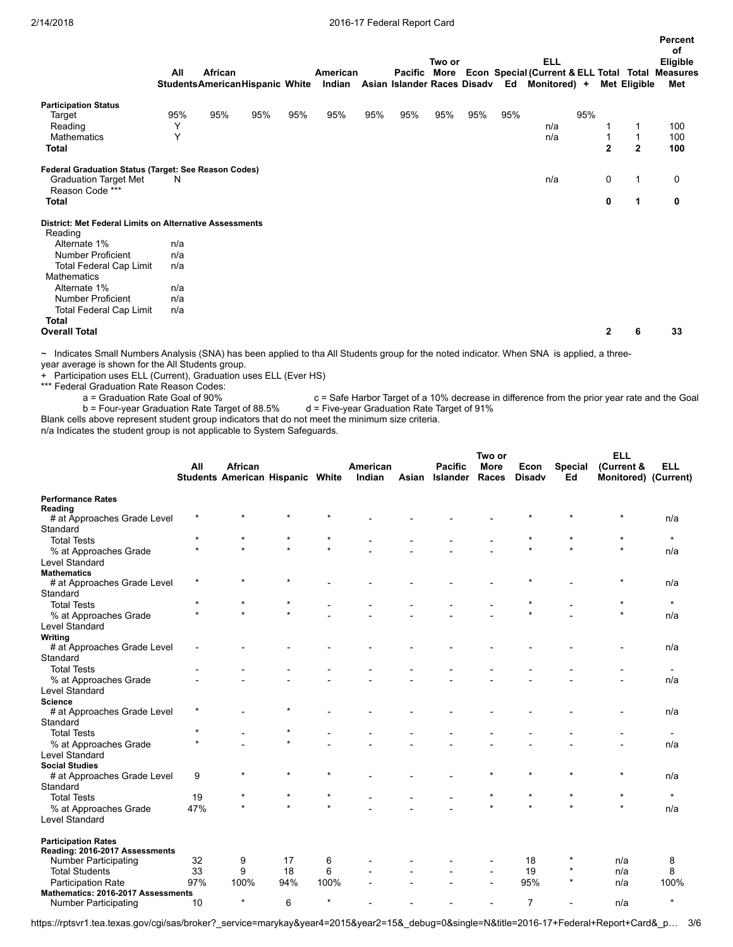|                                                                                                         |     |                                       |     |     |          |     |     | Two or |     |     | <b>ELL</b>                                           |     |                |              | Percent<br>of<br>Eligible |
|---------------------------------------------------------------------------------------------------------|-----|---------------------------------------|-----|-----|----------|-----|-----|--------|-----|-----|------------------------------------------------------|-----|----------------|--------------|---------------------------|
|                                                                                                         | All | African                               |     |     | American |     |     |        |     |     | Pacific More Econ Special (Current & ELL Total Total |     |                |              | <b>Measures</b>           |
|                                                                                                         |     | <b>StudentsAmericanHispanic White</b> |     |     | Indian   |     |     |        |     |     | Asian Islander Races Disadv Ed Monitored) +          |     |                | Met Eligible | Met                       |
| <b>Participation Status</b>                                                                             |     |                                       |     |     |          |     |     |        |     |     |                                                      |     |                |              |                           |
| Target                                                                                                  | 95% | 95%                                   | 95% | 95% | 95%      | 95% | 95% | 95%    | 95% | 95% |                                                      | 95% |                |              |                           |
| Reading                                                                                                 | Y   |                                       |     |     |          |     |     |        |     |     | n/a                                                  |     |                | 1            | 100                       |
| <b>Mathematics</b>                                                                                      | Y   |                                       |     |     |          |     |     |        |     |     | n/a                                                  |     |                |              | 100                       |
| <b>Total</b>                                                                                            |     |                                       |     |     |          |     |     |        |     |     |                                                      |     | $\overline{2}$ | $\mathbf{2}$ | 100                       |
| Federal Graduation Status (Target: See Reason Codes)<br><b>Graduation Target Met</b><br>Reason Code *** | N   |                                       |     |     |          |     |     |        |     |     | n/a                                                  |     | 0              | 1            | 0                         |
| <b>Total</b>                                                                                            |     |                                       |     |     |          |     |     |        |     |     |                                                      |     | 0              | 1            | 0                         |
| District: Met Federal Limits on Alternative Assessments<br>Reading                                      |     |                                       |     |     |          |     |     |        |     |     |                                                      |     |                |              |                           |
| Alternate 1%                                                                                            | n/a |                                       |     |     |          |     |     |        |     |     |                                                      |     |                |              |                           |
| <b>Number Proficient</b>                                                                                | n/a |                                       |     |     |          |     |     |        |     |     |                                                      |     |                |              |                           |
| <b>Total Federal Cap Limit</b>                                                                          | n/a |                                       |     |     |          |     |     |        |     |     |                                                      |     |                |              |                           |
| <b>Mathematics</b>                                                                                      |     |                                       |     |     |          |     |     |        |     |     |                                                      |     |                |              |                           |
| Alternate 1%                                                                                            | n/a |                                       |     |     |          |     |     |        |     |     |                                                      |     |                |              |                           |
| <b>Number Proficient</b>                                                                                | n/a |                                       |     |     |          |     |     |        |     |     |                                                      |     |                |              |                           |
| <b>Total Federal Cap Limit</b>                                                                          | n/a |                                       |     |     |          |     |     |        |     |     |                                                      |     |                |              |                           |
| Total                                                                                                   |     |                                       |     |     |          |     |     |        |     |     |                                                      |     |                |              |                           |
| <b>Overall Total</b>                                                                                    |     |                                       |     |     |          |     |     |        |     |     |                                                      |     | $\mathbf{2}$   | 6            | 33                        |

~ Indicates Small Numbers Analysis (SNA) has been applied to tha All Students group for the noted indicator. When SNA is applied, a threeyear average is shown for the All Students group.

+ Participation uses ELL (Current), Graduation uses ELL (Ever HS)

\*\*\* Federal Graduation Rate Reason Codes:

a = Graduation Rate Goal of 90% c = Safe Harbor Target of a 10% decrease in difference from the prior year rate and the Goal<br>b = Four-year Graduation Rate Target of 88.5% d = Five-year Graduation Rate Target of 91% b = Four-year Graduation Rate Target of 88.5%

Blank cells above represent student group indicators that do not meet the minimum size criteria.

n/a Indicates the student group is not applicable to System Safeguards.

|                                     |         |                                             |         |         |                    |       |                                   | Two or               |                       |                      | <b>ELL</b>                         |                |
|-------------------------------------|---------|---------------------------------------------|---------|---------|--------------------|-------|-----------------------------------|----------------------|-----------------------|----------------------|------------------------------------|----------------|
|                                     | All     | African<br>Students American Hispanic White |         |         | American<br>Indian | Asian | <b>Pacific</b><br><b>Islander</b> | <b>More</b><br>Races | Econ<br><b>Disadv</b> | <b>Special</b><br>Ed | (Current &<br>Monitored) (Current) | <b>ELL</b>     |
|                                     |         |                                             |         |         |                    |       |                                   |                      |                       |                      |                                    |                |
| <b>Performance Rates</b><br>Reading |         |                                             |         |         |                    |       |                                   |                      |                       |                      |                                    |                |
| # at Approaches Grade Level         | $\star$ |                                             | $\star$ | $\star$ |                    |       |                                   |                      |                       | $\star$              | $\star$                            | n/a            |
| Standard                            |         |                                             |         |         |                    |       |                                   |                      |                       |                      |                                    |                |
| <b>Total Tests</b>                  |         |                                             |         | $\star$ |                    |       |                                   |                      |                       |                      |                                    | $\star$        |
| % at Approaches Grade               |         |                                             |         |         |                    |       |                                   |                      |                       |                      | $\star$                            | n/a            |
| <b>Level Standard</b>               |         |                                             |         |         |                    |       |                                   |                      |                       |                      |                                    |                |
| <b>Mathematics</b>                  |         |                                             |         |         |                    |       |                                   |                      |                       |                      |                                    |                |
| # at Approaches Grade Level         | $\star$ | $\star$                                     | $\star$ |         |                    |       |                                   |                      |                       |                      | $\star$                            | n/a            |
| Standard                            |         |                                             |         |         |                    |       |                                   |                      |                       |                      |                                    |                |
| <b>Total Tests</b>                  | ÷       | $\star$                                     | $\star$ |         |                    |       |                                   |                      |                       |                      | $\star$                            | $\star$        |
| % at Approaches Grade               |         | $\star$                                     | $\star$ |         |                    |       |                                   |                      |                       |                      | $\star$                            | n/a            |
| Level Standard                      |         |                                             |         |         |                    |       |                                   |                      |                       |                      |                                    |                |
| Writing                             |         |                                             |         |         |                    |       |                                   |                      |                       |                      |                                    |                |
| # at Approaches Grade Level         |         |                                             |         |         |                    |       |                                   |                      |                       |                      |                                    | n/a            |
| Standard                            |         |                                             |         |         |                    |       |                                   |                      |                       |                      |                                    |                |
| <b>Total Tests</b>                  |         |                                             |         |         |                    |       |                                   |                      |                       |                      |                                    |                |
| % at Approaches Grade               |         |                                             |         |         |                    |       |                                   |                      |                       |                      |                                    | n/a            |
| <b>Level Standard</b>               |         |                                             |         |         |                    |       |                                   |                      |                       |                      |                                    |                |
| <b>Science</b>                      |         |                                             |         |         |                    |       |                                   |                      |                       |                      |                                    |                |
| # at Approaches Grade Level         |         |                                             | $\star$ |         |                    |       |                                   |                      |                       |                      |                                    | n/a            |
| Standard                            |         |                                             |         |         |                    |       |                                   |                      |                       |                      |                                    |                |
| <b>Total Tests</b>                  |         |                                             |         |         |                    |       |                                   |                      |                       |                      |                                    | $\blacksquare$ |
| % at Approaches Grade               | $\star$ |                                             |         |         |                    |       |                                   |                      |                       |                      |                                    | n/a            |
| Level Standard                      |         |                                             |         |         |                    |       |                                   |                      |                       |                      |                                    |                |
| <b>Social Studies</b>               |         |                                             |         |         |                    |       |                                   |                      |                       |                      |                                    |                |
| # at Approaches Grade Level         | 9       | $\star$                                     | $\star$ | $\star$ |                    |       |                                   |                      | $\star$               | $\star$              | $\star$                            | n/a            |
| Standard                            |         |                                             |         |         |                    |       |                                   |                      |                       |                      |                                    |                |
| <b>Total Tests</b>                  | 19      |                                             | $\star$ | $\star$ |                    |       |                                   | $\star$              |                       | $\star$              | $\star$                            | $\star$        |
| % at Approaches Grade               | 47%     |                                             | ÷       | $\star$ |                    |       |                                   | $\star$              |                       |                      | $\star$                            | n/a            |
| Level Standard                      |         |                                             |         |         |                    |       |                                   |                      |                       |                      |                                    |                |
| <b>Participation Rates</b>          |         |                                             |         |         |                    |       |                                   |                      |                       |                      |                                    |                |
| Reading: 2016-2017 Assessments      |         |                                             |         |         |                    |       |                                   |                      |                       |                      |                                    |                |
| <b>Number Participating</b>         | 32      | 9                                           | 17      | 6       |                    |       |                                   |                      | 18                    | *                    | n/a                                | 8              |
| <b>Total Students</b>               | 33      | 9                                           | 18      | 6       |                    |       |                                   |                      | 19                    | $^\star$             | n/a                                | 8              |
| <b>Participation Rate</b>           | 97%     | 100%                                        | 94%     | 100%    |                    |       |                                   |                      | 95%                   | $\star$              | n/a                                | 100%           |
| Mathematics: 2016-2017 Assessments  |         | $\star$                                     |         | $\star$ |                    |       |                                   |                      |                       |                      |                                    | $\star$        |
| <b>Number Participating</b>         | 10      |                                             | 6       |         |                    |       |                                   |                      | $\overline{7}$        |                      | n/a                                |                |

https://rptsvr1.tea.texas.gov/cgi/sas/broker?\_service=marykay&year4=2015&year2=15&\_debug=0&single=N&title=2016-17+Federal+Report+Card&\_p… 3/6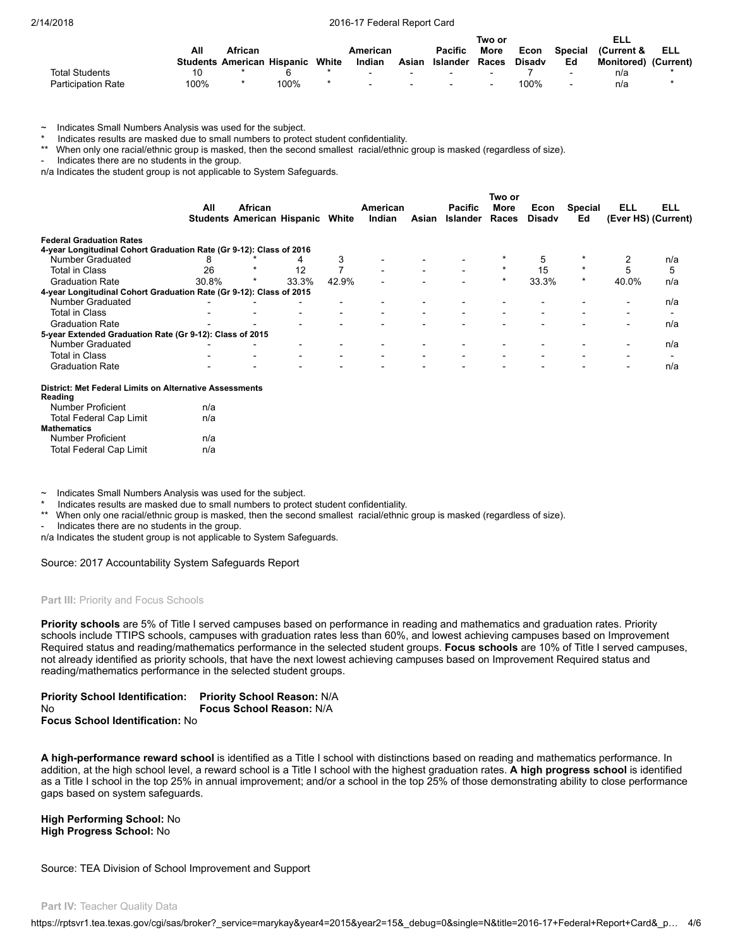|                           |      |                                         |      |          |        |                | Two or |               |                          | ELL                         |     |
|---------------------------|------|-----------------------------------------|------|----------|--------|----------------|--------|---------------|--------------------------|-----------------------------|-----|
|                           | All  | African                                 |      | American |        | <b>Pacific</b> | More   | Econ          | Special                  | Current &                   | ELL |
|                           |      | <b>Students American Hispanic White</b> |      | Indian   | Asian  | Islander       | Races  | <b>Disady</b> | Ed                       | <b>Monitored)</b> (Current) |     |
| <b>Total Students</b>     |      |                                         |      | $\sim$   | $\sim$ | $\sim$         |        |               | $\overline{\phantom{0}}$ | n/a                         |     |
| <b>Participation Rate</b> | 100% |                                         | 100% | $\sim$   | $-$    | $\sim$         |        | 100%          | $\blacksquare$           | n/a                         |     |

~ Indicates Small Numbers Analysis was used for the subject.

\* Indicates results are masked due to small numbers to protect student confidentiality.

When only one racial/ethnic group is masked, then the second smallest racial/ethnic group is masked (regardless of size).

- Indicates there are no students in the group.

n/a Indicates the student group is not applicable to System Safeguards.

|                                                                     |       |                                         |       |                          |                |       |                          | Two or      |               |                |                          |            |
|---------------------------------------------------------------------|-------|-----------------------------------------|-------|--------------------------|----------------|-------|--------------------------|-------------|---------------|----------------|--------------------------|------------|
|                                                                     | All   | African                                 |       |                          | American       |       | Pacific                  | <b>More</b> | Econ          | <b>Special</b> | ELL                      | <b>ELL</b> |
|                                                                     |       | <b>Students American Hispanic White</b> |       |                          | Indian         | Asian | Islander                 | Races       | <b>Disady</b> | Ed             | (Ever HS) (Current)      |            |
| <b>Federal Graduation Rates</b>                                     |       |                                         |       |                          |                |       |                          |             |               |                |                          |            |
| 4-year Longitudinal Cohort Graduation Rate (Gr 9-12): Class of 2016 |       |                                         |       |                          |                |       |                          |             |               |                |                          |            |
| Number Graduated                                                    |       |                                         |       | 3                        |                |       |                          |             | 5             |                |                          | n/a        |
| <b>Total in Class</b>                                               | 26    |                                         | 12    | ⇁                        |                |       |                          | $\star$     | 15            | $\star$        | 5                        | 5          |
| <b>Graduation Rate</b>                                              | 30.8% | $\star$                                 | 33.3% | 42.9%                    |                |       |                          | $\star$     | 33.3%         | $\star$        | 40.0%                    | n/a        |
| 4-year Longitudinal Cohort Graduation Rate (Gr 9-12): Class of 2015 |       |                                         |       |                          |                |       |                          |             |               |                |                          |            |
| Number Graduated                                                    |       |                                         |       |                          |                |       |                          |             |               |                |                          | n/a        |
| <b>Total in Class</b>                                               |       |                                         |       |                          |                |       |                          |             |               |                |                          |            |
| <b>Graduation Rate</b>                                              |       |                                         |       |                          |                |       |                          |             |               |                | $\overline{\phantom{0}}$ | n/a        |
| 5-year Extended Graduation Rate (Gr 9-12): Class of 2015            |       |                                         |       |                          |                |       |                          |             |               |                |                          |            |
| Number Graduated                                                    |       |                                         |       |                          |                |       |                          |             |               |                | $\overline{\phantom{0}}$ | n/a        |
| <b>Total in Class</b>                                               |       |                                         |       | $\overline{\phantom{0}}$ | $\blacksquare$ |       | $\overline{\phantom{0}}$ |             |               |                |                          |            |
| <b>Graduation Rate</b>                                              |       |                                         |       |                          |                |       |                          |             |               |                | $\overline{\phantom{0}}$ | n/a        |

#### District: Met Federal Limits on Alternative Assessments Reading

| n/a |
|-----|
| n/a |
|     |
| n/a |
| n/a |
|     |

Indicates Small Numbers Analysis was used for the subject.

\* Indicates results are masked due to small numbers to protect student confidentiality.<br>\*\* When any one racial/othnic group is masked, then the second smallest, racial/othnic

When only one racial/ethnic group is masked, then the second smallest racial/ethnic group is masked (regardless of size).

Indicates there are no students in the group.

n/a Indicates the student group is not applicable to System Safeguards.

Source: 2017 Accountability System Safeguards Report

#### Part III: Priority and Focus Schools

Priority schools are 5% of Title I served campuses based on performance in reading and mathematics and graduation rates. Priority schools include TTIPS schools, campuses with graduation rates less than 60%, and lowest achieving campuses based on Improvement Required status and reading/mathematics performance in the selected student groups. Focus schools are 10% of Title I served campuses, not already identified as priority schools, that have the next lowest achieving campuses based on Improvement Required status and reading/mathematics performance in the selected student groups.

| <b>Priority School Identification:</b> | <b>Priority School Reason: N/A</b> |
|----------------------------------------|------------------------------------|
| Nο                                     | <b>Focus School Reason: N/A</b>    |
| <b>Focus School Identification: No</b> |                                    |

A high-performance reward school is identified as a Title I school with distinctions based on reading and mathematics performance. In addition, at the high school level, a reward school is a Title I school with the highest graduation rates. A high progress school is identified as a Title I school in the top 25% in annual improvement; and/or a school in the top 25% of those demonstrating ability to close performance gaps based on system safeguards.

High Performing School: No High Progress School: No

Source: TEA Division of School Improvement and Support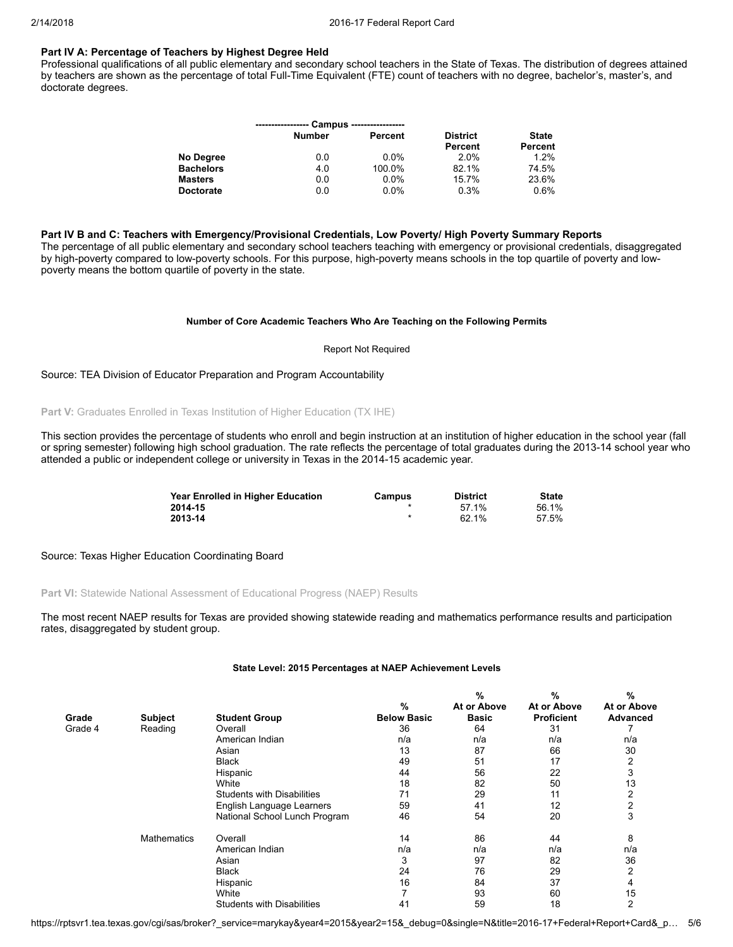### Part IV A: Percentage of Teachers by Highest Degree Held

Professional qualifications of all public elementary and secondary school teachers in the State of Texas. The distribution of degrees attained by teachers are shown as the percentage of total Full-Time Equivalent (FTE) count of teachers with no degree, bachelor's, master's, and doctorate degrees.

|                  |               | Campus ----------------- |                 |              |
|------------------|---------------|--------------------------|-----------------|--------------|
|                  | <b>Number</b> | Percent                  | <b>District</b> | <b>State</b> |
|                  |               |                          | Percent         | Percent      |
| No Degree        | 0.0           | $0.0\%$                  | 2.0%            | 1.2%         |
| <b>Bachelors</b> | 4.0           | 100.0%                   | 82.1%           | 74.5%        |
| <b>Masters</b>   | 0.0           | $0.0\%$                  | 15.7%           | 23.6%        |
| <b>Doctorate</b> | 0.0           | 0.0%                     | 0.3%            | 0.6%         |

### Part IV B and C: Teachers with Emergency/Provisional Credentials, Low Poverty/ High Poverty Summary Reports

The percentage of all public elementary and secondary school teachers teaching with emergency or provisional credentials, disaggregated by high-poverty compared to low-poverty schools. For this purpose, high-poverty means schools in the top quartile of poverty and lowpoverty means the bottom quartile of poverty in the state.

#### Number of Core Academic Teachers Who Are Teaching on the Following Permits

#### Report Not Required

### Source: TEA Division of Educator Preparation and Program Accountability

### Part V: Graduates Enrolled in Texas Institution of Higher Education (TX IHE)

This section provides the percentage of students who enroll and begin instruction at an institution of higher education in the school year (fall or spring semester) following high school graduation. The rate reflects the percentage of total graduates during the 2013-14 school year who attended a public or independent college or university in Texas in the 2014-15 academic year.

| Year Enrolled in Higher Education | Campus | <b>District</b> | <b>State</b> |
|-----------------------------------|--------|-----------------|--------------|
| 2014-15                           |        | 57.1%           | 56.1%        |
| 2013-14                           |        | 62.1%           | 57.5%        |

#### Source: Texas Higher Education Coordinating Board

### Part VI: Statewide National Assessment of Educational Progress (NAEP) Results

The most recent NAEP results for Texas are provided showing statewide reading and mathematics performance results and participation rates, disaggregated by student group.

#### State Level: 2015 Percentages at NAEP Achievement Levels

|         |                    |                                   |                    | %            | %                 | %               |
|---------|--------------------|-----------------------------------|--------------------|--------------|-------------------|-----------------|
|         |                    |                                   | $\%$               | At or Above  | At or Above       | At or Above     |
| Grade   | <b>Subject</b>     | <b>Student Group</b>              | <b>Below Basic</b> | <b>Basic</b> | <b>Proficient</b> | <b>Advanced</b> |
| Grade 4 | Reading            | Overall                           | 36                 | 64           | 31                |                 |
|         |                    | American Indian                   | n/a                | n/a          | n/a               | n/a             |
|         |                    | Asian                             | 13                 | 87           | 66                | 30              |
|         |                    | <b>Black</b>                      | 49                 | 51           | 17                | 2               |
|         |                    | Hispanic                          | 44                 | 56           | 22                | 3               |
|         |                    | White                             | 18                 | 82           | 50                | 13              |
|         |                    | <b>Students with Disabilities</b> | 71                 | 29           | 11                |                 |
|         |                    | English Language Learners         | 59                 | 41           | 12                | 2               |
|         |                    | National School Lunch Program     | 46                 | 54           | 20                | 3               |
|         | <b>Mathematics</b> | Overall                           | 14                 | 86           | 44                | 8               |
|         |                    | American Indian                   | n/a                | n/a          | n/a               | n/a             |
|         |                    | Asian                             | 3                  | 97           | 82                | 36              |
|         |                    | <b>Black</b>                      | 24                 | 76           | 29                | 2               |
|         |                    | Hispanic                          | 16                 | 84           | 37                |                 |
|         |                    | White                             |                    | 93           | 60                | 15              |
|         |                    | <b>Students with Disabilities</b> | 41                 | 59           | 18                | 2               |